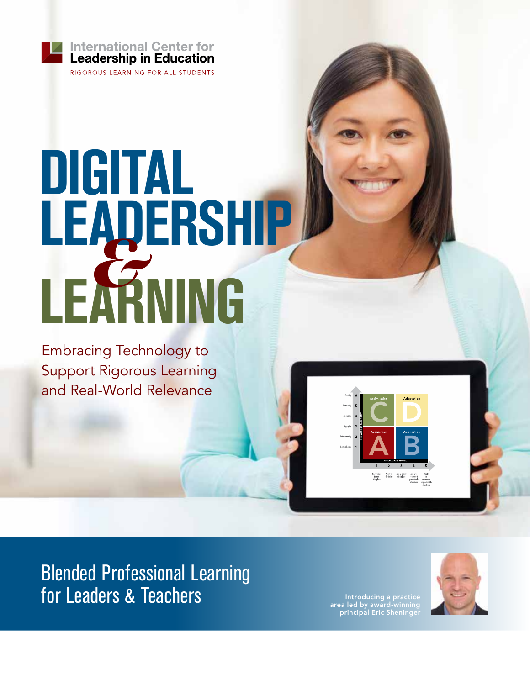

RIGOROUS LEARNING FOR ALL STUDENTS

# **DIGITAL LEADERSHIP LEARNING** *&*

Embracing Technology to Support Rigorous Learning and Real-World Relevance



Blended Professional Learning for Leaders & Teachers

area led by award-winning principal Eric Sheninger

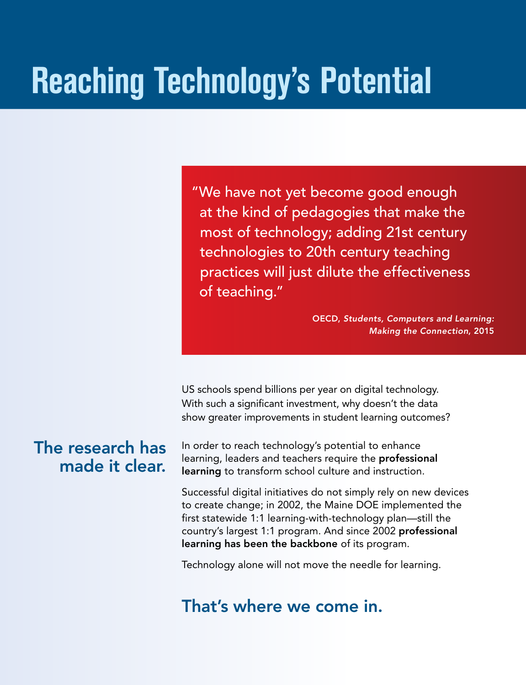### **Reaching Technology's Potential**

"We have not yet become good enough at the kind of pedagogies that make the most of technology; adding 21st century technologies to 20th century teaching practices will just dilute the effectiveness of teaching."

> OECD, *Students, Computers and Learning: Making the Connection*, 2015

US schools spend billions per year on digital technology. With such a significant investment, why doesn't the data show greater improvements in student learning outcomes?

#### The research has made it clear.

In order to reach technology's potential to enhance learning, leaders and teachers require the **professional** learning to transform school culture and instruction.

Successful digital initiatives do not simply rely on new devices to create change; in 2002, the Maine DOE implemented the first statewide 1:1 learning-with-technology plan—still the country's largest 1:1 program. And since 2002 professional learning has been the backbone of its program.

Technology alone will not move the needle for learning.

#### That's where we come in.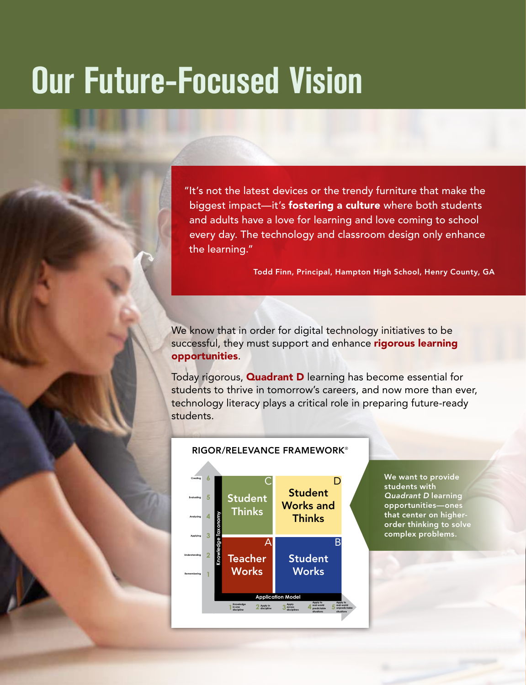### **Our Future-Focused Vision**

"It's not the latest devices or the trendy furniture that make the biggest impact—it's **fostering a culture** where both students and adults have a love for learning and love coming to school every day. The technology and classroom design only enhance the learning."

Todd Finn, Principal, Hampton High School, Henry County, GA

We know that in order for digital technology initiatives to be successful, they must support and enhance rigorous learning opportunities.

Today rigorous, **Quadrant D** learning has become essential for students to thrive in tomorrow's careers, and now more than ever, technology literacy plays a critical role in preparing future-ready students.



We want to provide students with *Quadrant D* learning opportunities—ones **that center on higher**order thinking to solve complex problems.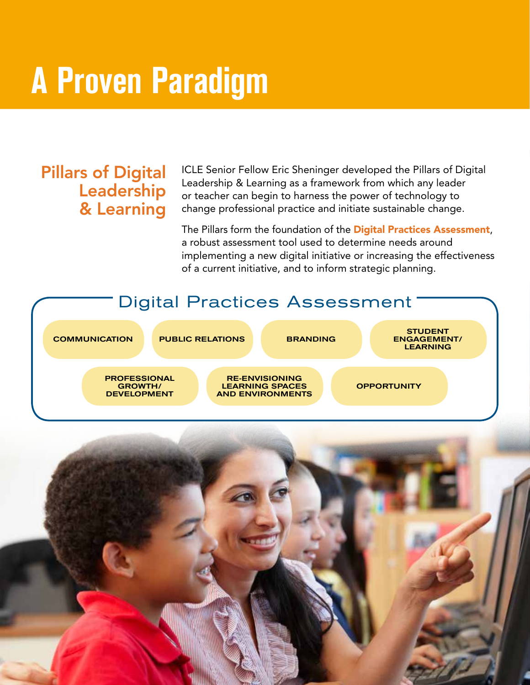### **A Proven Paradigm**

#### Pillars of Digital Leadership & Learning

ICLE Senior Fellow Eric Sheninger developed the Pillars of Digital Leadership & Learning as a framework from which any leader or teacher can begin to harness the power of technology to change professional practice and initiate sustainable change.

The Pillars form the foundation of the **Digital Practices Assessment**, a robust assessment tool used to determine needs around implementing a new digital initiative or increasing the effectiveness of a current initiative, and to inform strategic planning.

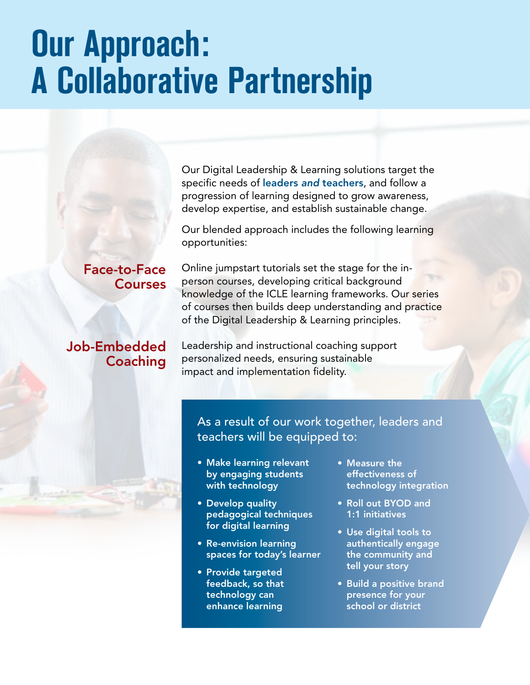### **Our Approach: A Collaborative Partnership**

Our Digital Leadership & Learning solutions target the specific needs of leaders *and* teachers, and follow a progression of learning designed to grow awareness, develop expertise, and establish sustainable change.

Our blended approach includes the following learning opportunities:

Online jumpstart tutorials set the stage for the inperson courses, developing critical background knowledge of the ICLE learning frameworks. Our series of courses then builds deep understanding and practice of the Digital Leadership & Learning principles.

Leadership and instructional coaching support personalized needs, ensuring sustainable impact and implementation fidelity.

As a result of our work together, leaders and teachers will be equipped to:

- Make learning relevant by engaging students with technology
- Develop quality pedagogical techniques for digital learning
- Re-envision learning spaces for today's learner
- Provide targeted feedback, so that technology can enhance learning
- Measure the effectiveness of technology integration
- Roll out BYOD and 1:1 initiatives
- Use digital tools to authentically engage the community and tell your story
- Build a positive brand presence for your school or district

#### Face-to-Face **Courses**

#### Job-Embedded **Coaching**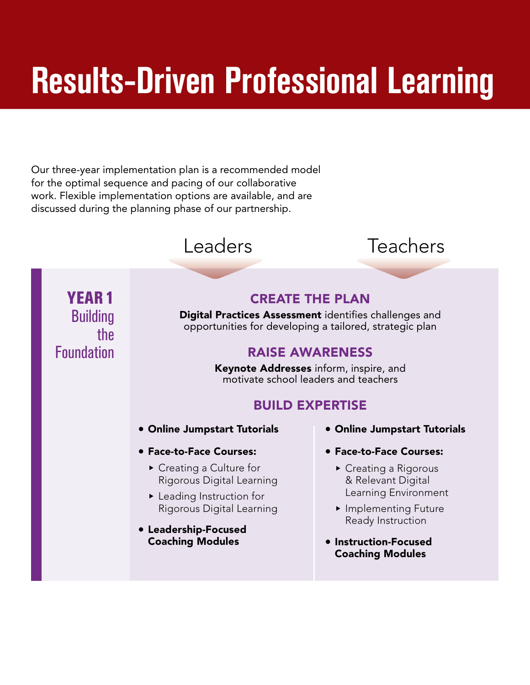## **Results-Driven Professional Learning**

Our three-year implementation plan is a recommended model for the optimal sequence and pacing of our collaborative work. Flexible implementation options are available, and are discussed during the planning phase of our partnership.



### Leaders Teachers

YEAR 1 Building the Foundation

#### CREATE THE PLAN

Digital Practices Assessment identifies challenges and opportunities for developing a tailored, strategic plan

#### RAISE AWARENESS

Keynote Addresses inform, inspire, and motivate school leaders and teachers

#### BUILD EXPERTISE

- Online Jumpstart Tutorials
- 1 Face-to-Face Courses:
	- $\triangleright$  Creating a Culture for Rigorous Digital Learning
	- $\blacktriangleright$  Leading Instruction for Rigorous Digital Learning
- Leadership-Focused Coaching Modules
- Online Jumpstart Tutorials
- **Face-to-Face Courses:** 
	- $\triangleright$  Creating a Rigorous & Relevant Digital Learning Environment
	- **Examplementing Future** Ready Instruction
- Instruction-Focused Coaching Modules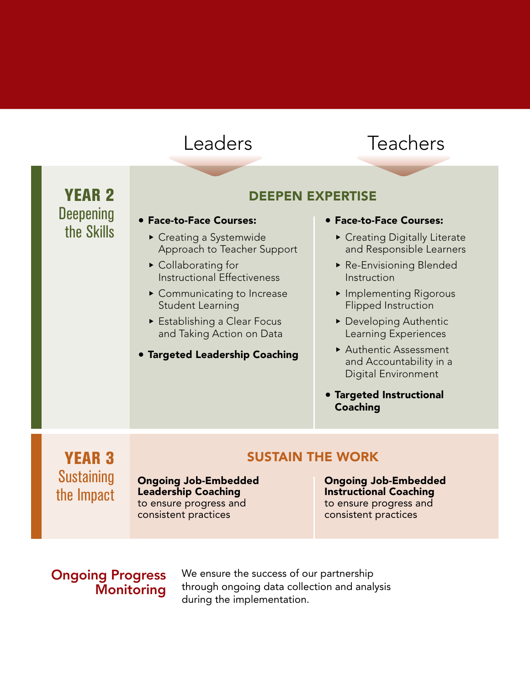#### Leaders Teachers

YEAR 2 **Deepening** the Skills

#### DEEPEN EXPERTISE

#### 1 Face-to-Face Courses:

- $\triangleright$  Creating a Systemwide Approach to Teacher Support
- $\triangleright$  Collaborating for Instructional Effectiveness
- $\blacktriangleright$  Communicating to Increase Student Learning
- $\triangleright$  Establishing a Clear Focus and Taking Action on Data
- **Targeted Leadership Coaching**

#### 1 Face-to-Face Courses:

- **Creating Digitally Literate** and Responsible Learners
- $\triangleright$  Re-Envisioning Blended Instruction
- **Examplementing Rigorous** Flipped Instruction
- $\blacktriangleright$  Developing Authentic Learning Experiences
- ▶ Authentic Assessment and Accountability in a Digital Environment
- **Targeted Instructional** Coaching

YEAR 3 **Sustaining** the Impact

Ongoing Job-Embedded Leadership Coaching to ensure progress and consistent practices

#### SUSTAIN THE WORK

Ongoing Job-Embedded Instructional Coaching to ensure progress and consistent practices

#### Ongoing Progress **Monitoring**

We ensure the success of our partnership through ongoing data collection and analysis during the implementation.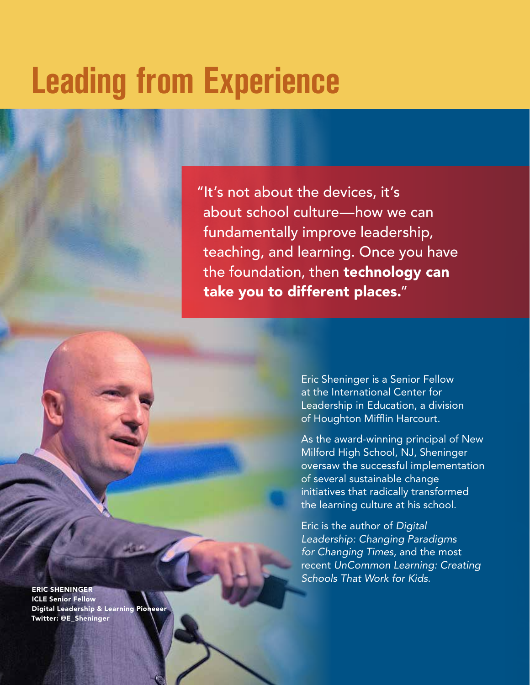### **Leading from Experience**

"It's not about the devices, it's about school culture—how we can fundamentally improve leadership, teaching, and learning. Once you have the foundation, then technology can take you to different places."

> Eric Sheninger is a Senior Fellow at the International Center for Leadership in Education, a division of Houghton Mifflin Harcourt.

As the award-winning principal of New Milford High School, NJ, Sheninger oversaw the successful implementation of several sustainable change initiatives that radically transformed the learning culture at his school.

Eric is the author of *Digital Leadership: Changing Paradigms for Changing Times*, and the most recent *UnCommon Learning: Creating Schools That Work for Kids*.

ERIC SHENINGER ICLE Senior Fellow **Digital Leadership & Learning Pion** Twitter: @E\_Sheninger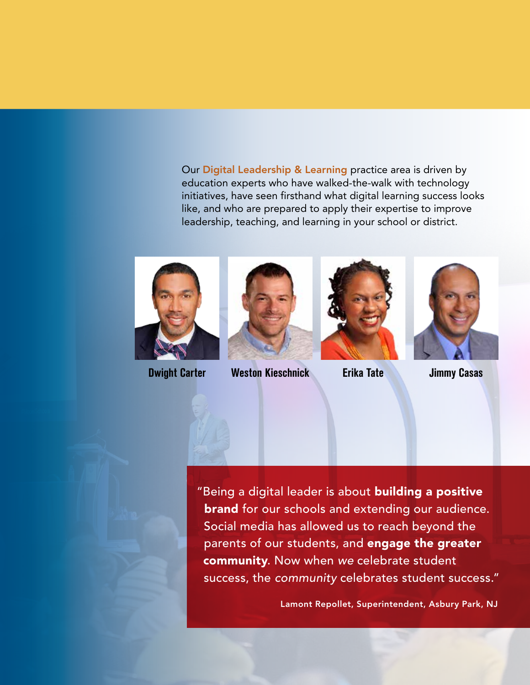Our Digital Leadership & Learning practice area is driven by education experts who have walked-the-walk with technology initiatives, have seen firsthand what digital learning success looks like, and who are prepared to apply their expertise to improve leadership, teaching, and learning in your school or district.





**Dwight Carter Weston Kieschnick Erika Tate Jimmy Casas**





"Being a digital leader is about building a positive **brand** for our schools and extending our audience. Social media has allowed us to reach beyond the parents of our students, and engage the greater community. Now when *we* celebrate student success, the *community* celebrates student success."

Lamont Repollet, Superintendent, Asbury Park, NJ